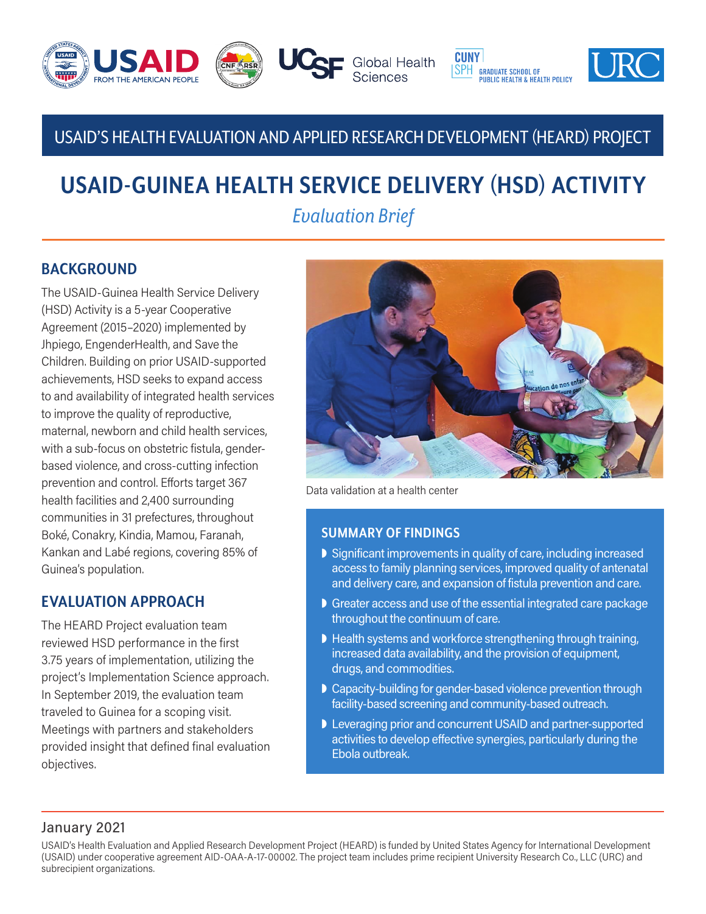

## USAID'S HEALTH EVALUATION AND APPLIED RESEARCH DEVELOPMENT (HEARD) PROJECT

# **USAID-GUINEA HEALTH SERVICE DELIVERY (HSD) ACTIVITY**

*Evaluation Brief*

## **BACKGROUND**

The USAID-Guinea Health Service Delivery (HSD) Activity is a 5-year Cooperative Agreement (2015–2020) implemented by Jhpiego, EngenderHealth, and Save the Children. Building on prior USAID-supported achievements, HSD seeks to expand access to and availability of integrated health services to improve the quality of reproductive, maternal, newborn and child health services, with a sub-focus on obstetric fistula, genderbased violence, and cross-cutting infection prevention and control. Efforts target 367 health facilities and 2,400 surrounding communities in 31 prefectures, throughout Boké, Conakry, Kindia, Mamou, Faranah, Kankan and Labé regions, covering 85% of Guinea's population.

## **EVALUATION APPROACH**

The HEARD Project evaluation team reviewed HSD performance in the first 3.75 years of implementation, utilizing the project's Implementation Science approach. In September 2019, the evaluation team traveled to Guinea for a scoping visit. Meetings with partners and stakeholders provided insight that defined final evaluation objectives.



Data validation at a health center

#### **SUMMARY OF FINDINGS**

- $\triangleright$  Significant improvements in quality of care, including increased access to family planning services, improved quality of antenatal and delivery care, and expansion of fistula prevention and care.
- Greater access and use of the essential integrated care package throughout the continuum of care.
- $\blacktriangleright$  Health systems and workforce strengthening through training, increased data availability, and the provision of equipment, drugs, and commodities.
- **Capacity-building for gender-based violence prevention through** facility-based screening and community-based outreach.
- I Leveraging prior and concurrent USAID and partner-supported activities to develop effective synergies, particularly during the Ebola outbreak.

#### January 2021

USAID's Health Evaluation and Applied Research Development Project (HEARD) is funded by United States Agency for International Development (USAID) under cooperative agreement AID-OAA-A-17-00002. The project team includes prime recipient University Research Co., LLC (URC) and subrecipient organizations.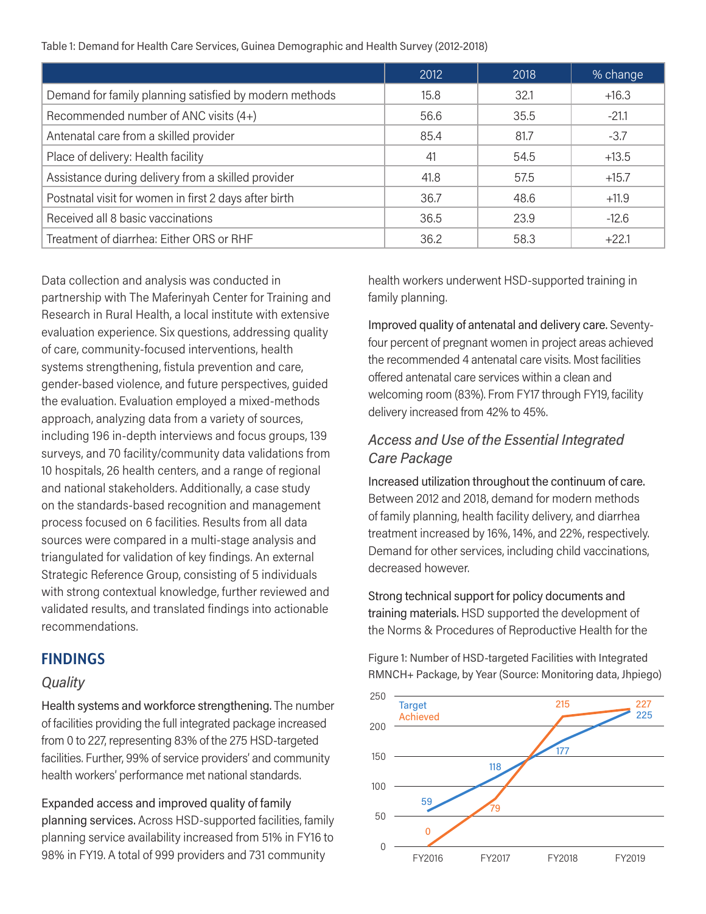Table 1: Demand for Health Care Services, Guinea Demographic and Health Survey (2012-2018)

|                                                        | 2012 | 2018 | % change |
|--------------------------------------------------------|------|------|----------|
| Demand for family planning satisfied by modern methods | 15.8 | 32.1 | $+16.3$  |
| Recommended number of ANC visits (4+)                  | 56.6 | 35.5 | $-21.1$  |
| Antenatal care from a skilled provider                 | 85.4 | 81.7 | $-3.7$   |
| Place of delivery: Health facility                     | 41   | 54.5 | $+13.5$  |
| Assistance during delivery from a skilled provider     | 41.8 | 57.5 | $+15.7$  |
| Postnatal visit for women in first 2 days after birth  | 36.7 | 48.6 | $+11.9$  |
| Received all 8 basic vaccinations                      | 36.5 | 23.9 | $-12.6$  |
| Treatment of diarrhea: Either ORS or RHF               | 36.2 | 58.3 | $+22.1$  |

Data collection and analysis was conducted in partnership with The Maferinyah Center for Training and Research in Rural Health, a local institute with extensive evaluation experience. Six questions, addressing quality of care, community-focused interventions, health systems strengthening, fistula prevention and care, gender-based violence, and future perspectives, guided the evaluation. Evaluation employed a mixed-methods approach, analyzing data from a variety of sources, including 196 in-depth interviews and focus groups, 139 surveys, and 70 facility/community data validations from 10 hospitals, 26 health centers, and a range of regional and national stakeholders. Additionally, a case study on the standards-based recognition and management process focused on 6 facilities. Results from all data sources were compared in a multi-stage analysis and triangulated for validation of key findings. An external Strategic Reference Group, consisting of 5 individuals with strong contextual knowledge, further reviewed and validated results, and translated findings into actionable recommendations.

## **FINDINGS**

#### *Quality*

Health systems and workforce strengthening. The number of facilities providing the full integrated package increased from 0 to 227, representing 83% of the 275 HSD-targeted facilities. Further, 99% of service providers' and community health workers' performance met national standards.

Expanded access and improved quality of family planning services. Across HSD-supported facilities, family planning service availability increased from 51% in FY16 to 98% in FY19. A total of 999 providers and 731 community

health workers underwent HSD-supported training in family planning.

Improved quality of antenatal and delivery care. Seventyfour percent of pregnant women in project areas achieved the recommended 4 antenatal care visits. Most facilities offered antenatal care services within a clean and welcoming room (83%). From FY17 through FY19, facility delivery increased from 42% to 45%.

## *Access and Use of the Essential Integrated Care Package*

Increased utilization throughout the continuum of care. Between 2012 and 2018, demand for modern methods of family planning, health facility delivery, and diarrhea treatment increased by 16%, 14%, and 22%, respectively. Demand for other services, including child vaccinations, decreased however.

Strong technical support for policy documents and training materials. HSD supported the development of the Norms & Procedures of Reproductive Health for the

Figure 1: Number of HSD-targeted Facilities with Integrated RMNCH+ Package, by Year (Source: Monitoring data, Jhpiego)

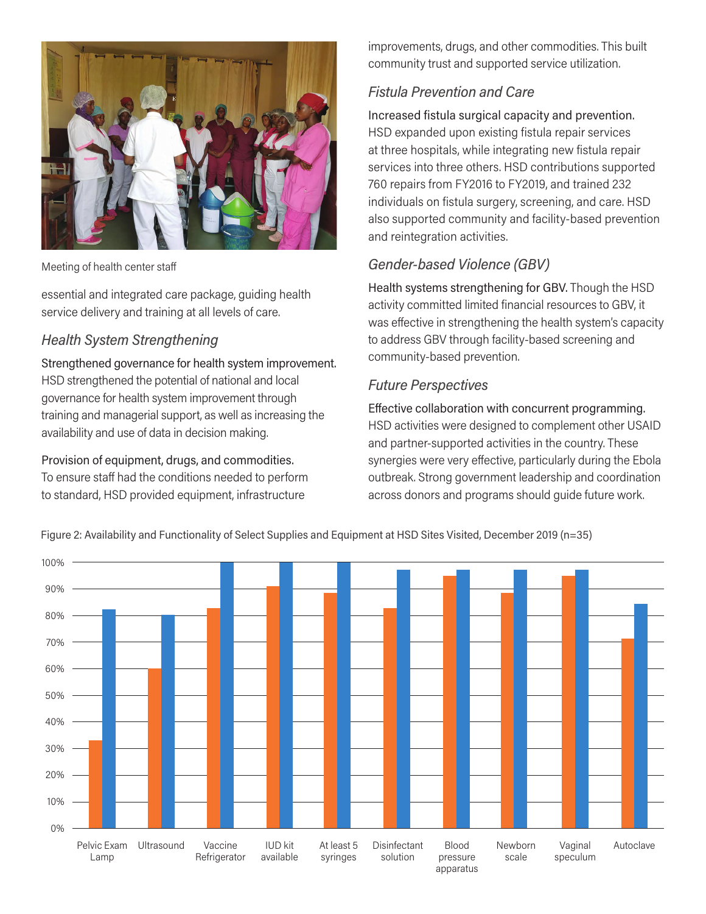

Meeting of health center staff

essential and integrated care package, guiding health service delivery and training at all levels of care.

## *Health System Strengthening*

Strengthened governance for health system improvement. HSD strengthened the potential of national and local governance for health system improvement through training and managerial support, as well as increasing the availability and use of data in decision making.

Provision of equipment, drugs, and commodities. To ensure staff had the conditions needed to perform to standard, HSD provided equipment, infrastructure

improvements, drugs, and other commodities. This built community trust and supported service utilization.

## *Fistula Prevention and Care*

Increased fistula surgical capacity and prevention. HSD expanded upon existing fistula repair services at three hospitals, while integrating new fistula repair services into three others. HSD contributions supported 760 repairs from FY2016 to FY2019, and trained 232 individuals on fistula surgery, screening, and care. HSD also supported community and facility-based prevention and reintegration activities.

## *Gender-based Violence (GBV)*

Health systems strengthening for GBV. Though the HSD activity committed limited financial resources to GBV, it was effective in strengthening the health system's capacity to address GBV through facility-based screening and community-based prevention.

## *Future Perspectives*

Effective collaboration with concurrent programming. HSD activities were designed to complement other USAID and partner-supported activities in the country. These synergies were very effective, particularly during the Ebola outbreak. Strong government leadership and coordination across donors and programs should guide future work.



Figure 2: Availability and Functionality of Select Supplies and Equipment at HSD Sites Visited, December 2019 (n=35)